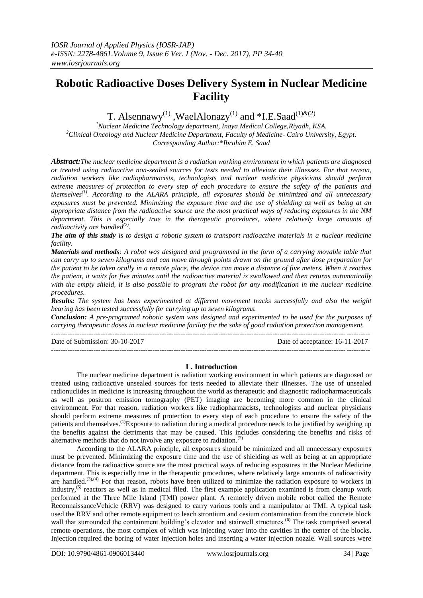# **Robotic Radioactive Doses Delivery System in Nuclear Medicine Facility**

T. Alsennawy<sup>(1)</sup>, WaelAlonazy<sup>(1)</sup> and \*I.E.Saad<sup>(1)&(2)</sup>

*<sup>1</sup>Nuclear Medicine Technology department, Inaya Medical College,Riyadh, KSA. <sup>2</sup>Clinical Oncology and Nuclear Medicine Department, Faculty of Medicine- Cairo University, Egypt. Corresponding Author:\*Ibrahim E. Saad*

*Abstract:The nuclear medicine department is a radiation working environment in which patients are diagnosed or treated using radioactive non-sealed sources for tests needed to alleviate their illnesses. For that reason, radiation workers like radiopharmacists, technologists and nuclear medicine physicians should perform extreme measures of protection to every step of each procedure to ensure the safety of the patients and themselves(1). According to the ALARA principle, all exposures should be minimized and all unnecessary exposures must be prevented. Minimizing the exposure time and the use of shielding as well as being at an appropriate distance from the radioactive source are the most practical ways of reducing exposures in the NM department. This is especially true in the therapeutic procedures, where relatively large amounts of radioactivity are handled*<sup>(2)</sup>.

*The aim of this study is to design a robotic system to transport radioactive materials in a nuclear medicine facility.* 

*Materials and methods: A robot was designed and programmed in the form of a carrying movable table that can carry up to seven kilograms and can move through points drawn on the ground after dose preparation for the patient to be taken orally in a remote place, the device can move a distance of five meters. When it reaches the patient, it waits for five minutes until the radioactive material is swallowed and then returns automatically with the empty shield, it is also possible to program the robot for any modification in the nuclear medicine procedures.* 

*Results: The system has been experimented at different movement tracks successfully and also the weight bearing has been tested successfully for carrying up to seven kilograms.* 

*Conclusion: A pre-programed robotic system was designed and experimented to be used for the purposes of carrying therapeutic doses in nuclear medicine facility for the sake of good radiation protection management.*  ---------------------------------------------------------------------------------------------------------------------------------------

Date of Submission: 30-10-2017 Date of acceptance: 16-11-2017

---------------------------------------------------------------------------------------------------------------------------------------

# **I . Introduction**

The nuclear medicine department is radiation working environment in which patients are diagnosed or treated using radioactive unsealed sources for tests needed to alleviate their illnesses. The use of unsealed radionuclides in medicine is increasing throughout the world as therapeutic and diagnostic radiopharmaceuticals as well as positron emission tomography (PET) imaging are becoming more common in the clinical environment. For that reason, radiation workers like radiopharmacists, technologists and nuclear physicians should perform extreme measures of protection to every step of each procedure to ensure the safety of the patients and themselves.<sup>(1)</sup>Exposure to radiation during a medical procedure needs to be justified by weighing up the benefits against the detriments that may be caused. This includes considering the benefits and risks of alternative methods that do not involve any exposure to radiation. $(2)$ 

According to the ALARA principle, all exposures should be minimized and all unnecessary exposures must be prevented. Minimizing the exposure time and the use of shielding as well as being at an appropriate distance from the radioactive source are the most practical ways of reducing exposures in the Nuclear Medicine department. This is especially true in the therapeutic procedures, where relatively large amounts of radioactivity are handled.<sup>(3),(4)</sup> For that reason, robots have been utilized to minimize the radiation exposure to workers in industry,<sup>(5)</sup> reactors as well as in medical filed. The first example application examined is from cleanup work performed at the Three Mile Island (TMI) power plant. A remotely driven mobile robot called the Remote ReconnaissanceVehicle (RRV) was designed to carry various tools and a manipulator at TMI. A typical task used the RRV and other remote equipment to leach strontium and cesium contamination from the concrete block wall that surrounded the containment building's elevator and stairwell structures.<sup>(6)</sup> The task comprised several remote operations, the most complex of which was injecting water into the cavities in the center of the blocks. Injection required the boring of water injection holes and inserting a water injection nozzle. Wall sources were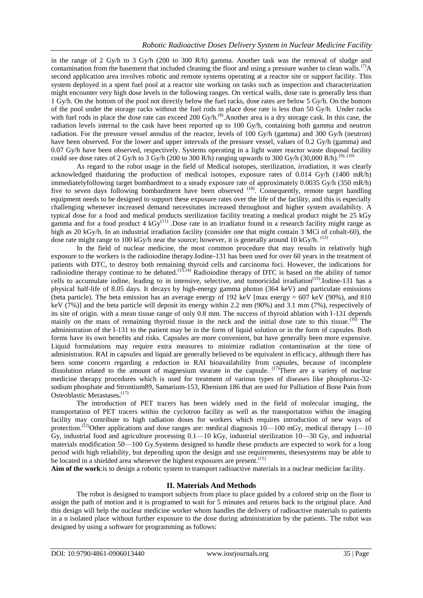in the range of 2 Gy/h to 3 Gy/h (200 to 300 R/h) gamma. Another task was the removal of sludge and contamination from the basement that included cleaning the floor and using a pressure washer to clean walls.<sup>(7)</sup>A second application area involves robotic and remote systems operating at a reactor site or support facility. This system deployed in a spent fuel pool at a reactor site working on tasks such as inspection and characterization might encounter very high dose levels in the following ranges. On vertical walls, dose rate is generally less than 1 Gy/h. On the bottom of the pool not directly below the fuel racks, dose rates are below 5 Gy/h. On the bottom of the pool under the storage racks without the fuel rods in place dose rate is less than 50 Gy/h. Under racks with fuel rods in place the dose rate can exceed 200 Gy/h.<sup>(8)</sup>. Another area is a dry storage cask. In this case, the radiation levels internal to the cask have been reported up to 100 Gy/h, containing both gamma and neutron radiation. For the pressure vessel annulus of the reactor, levels of 100 Gy/h (gamma) and 300 Gy/h (neutron) have been observed. For the lower and upper intervals of the pressure vessel, values of 0.2 Gy/h (gamma) and 0.07 Gy/h have been observed, respectively. Systems operating in a light water reactor waste disposal facility could see dose rates of 2 Gy/h to 3 Gy/h (200 to 300 R/h) ranging upwards to 300 Gy/h (30,000 R/h).<sup>(9), (10)</sup>

As regard to the robot usage in the field of Medical isotopes, sterilization, irradiation, it was clearly acknowledged thatduring the production of medical isotopes, exposure rates of 0.014 Gy/h (1400 mR/h) immediatelyfollowing target bombardment to a steady exposure rate of approximately 0.0035 Gy/h (350 mR/h) five to seven days following bombardment have been observed <sup>(10)</sup>. Consequently, remote target handling equipment needs to be designed to support these exposure rates over the life of the facility, and this is especially challenging whenever increased demand necessitates increased throughout and higher system availability. A typical dose for a food and medical products sterilization facility treating a medical product might be 25 kGy gamma and for a food product 4  $kGy^{(11)}$ . Dose rate in an irradiator found in a research facility might range as high as 20 kGy/h. In an industrial irradiation facility (consider one that might contain 3 MCi of cobalt-60), the dose rate might range to 100 kGy/h near the source; however, it is generally around 10 kGy/h.  $^{(12)}$ 

In the field of nuclear medicine, the most common procedure that may results in relatively high exposure to the workers is the radioiodine therapy.Iodine-131 has been used for over 60 years in the treatment of patients with DTC, to destroy both remaining thyroid cells and carcinoma foci. However, the indications for radioiodine therapy continue to be debated.<sup>(13,14)</sup> Radioiodine therapy of DTC is based on the ability of tumor cells to accumulate iodine, leading to in intensive, selective, and tumoricidal irradiation<sup>(15)</sup>.Iodine-131 has a physical half-life of 8.05 days. It decays by high-energy gamma photon (364 keV) and particulate emissions (beta particle). The beta emission has an average energy of 192 keV [max energy =  $607$  keV (90%), and 810 keV (7%)] and the beta particle will deposit its energy within 2.2 mm (90%) and 3.1 mm (7%), respectively of its site of origin. with a mean tissue range of only 0.8 mm. The success of thyroid ablation with I-131 depends mainly on the mass of remaining thyroid tissue in the neck and the initial dose rate to this tissue.<sup>(16)</sup> The administration of the I-131 to the patient may be in the form of liquid solution or in the form of capsules. Both forms have its own benefits and risks. Capsules are more convenient, but have generally been more expensive. Liquid formulations may require extra measures to minimize radiation contamination at the time of administration. RAI in capsules and liquid are generally believed to be equivalent in efficacy, although there has been some concern regarding a reduction in RAI bioavailability from capsules, because of incomplete dissolution related to the amount of magnesium stearate in the capsule.  $(17)$ There are a variety of nuclear medicine therapy procedures which is used for treatment of various types of diseases like phosphorus-32 sodium phosphate and Strontium89, Samarium-153, Rhenium 186 that are used for Palliation of Bone Pain from Osteoblastic Metastases**.** (17)

The introduction of PET tracers has been widely used in the field of molecular imaging, the transportation of PET tracers within the cyclotron facility as well as the transportation within the imaging facility may contribute to high radiation doses for workers which requires introduction of new ways of protection.<sup>(12)</sup>Other applications and dose ranges are: medical diagnosis  $10-100$  mGy, medical therapy  $1-10$ Gy, industrial food and agriculture processing 0.1—10 kGy, industrial sterilization 10—30 Gy, and industrial materials modification 50—100 Gy.Systems designed to handle these products are expected to work for a long period with high reliability, but depending upon the design and use requirements, thesesystems may be able to be located in a shielded area whenever the highest exposures are present.<sup>(11)</sup>

**Aim of the work**:is to design a robotic system to transport radioactive materials in a nuclear medicine facility.

### **II. Materials And Methods**

The robot is designed to transport subjects from place to place guided by a colored strip on the floor to assign the path of motion and it is programed to wait for 5 minutes and returns back to the original place. And this design will help the nuclear medicine worker whom handles the delivery of radioactive materials to patients in a n isolated place without further exposure to the dose during administration by the patients. The robot was designed by using a software for programming as follows: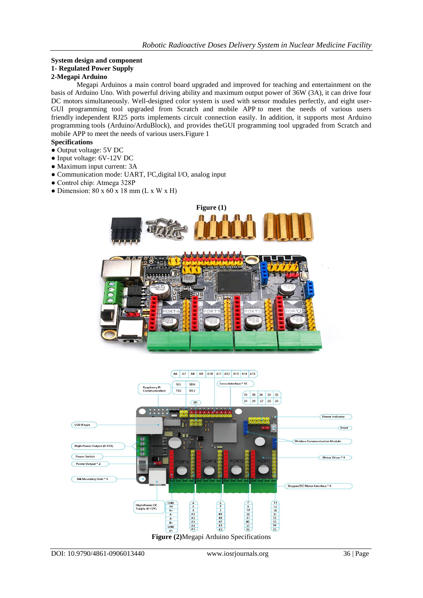## **System design and component 1- Regulated Power Supply 2-Megapi Arduino**

Megapi Arduinos a main control board upgraded and improved for teaching and entertainment on the basis of Arduino Uno. With powerful driving ability and maximum output power of 36W (3A), it can drive four DC motors simultaneously. Well-designed color system is used with sensor modules perfectly, and eight user-GUI programming tool upgraded from Scratch and mobile APP to meet the needs of various users friendly independent RJ25 ports implements circuit connection easily. In addition, it supports most Arduino programming tools (Arduino/ArduBlock), and provides theGUI programming tool upgraded from Scratch and mobile APP to meet the needs of various users.Figure 1

# **Specifications**

- Output voltage: 5V DC
- Input voltage: 6V-12V DC
- Maximum input current: 3A
- Communication mode: UART, I²C,digital I/O, analog input
- Control chip: Atmega 328P
- $\bullet$  Dimension: 80 x 60 x 18 mm (L x W x H)





**Figure (2)**Megapi Arduino Specifications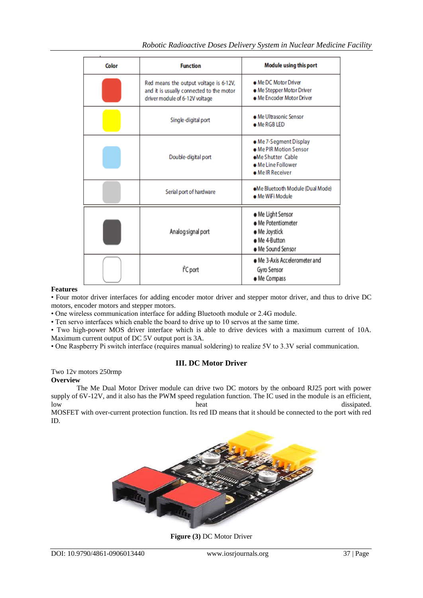| Color | <b>Function</b>                                                                                                      | Module using this port                                                                                          |  |
|-------|----------------------------------------------------------------------------------------------------------------------|-----------------------------------------------------------------------------------------------------------------|--|
|       | Red means the output voltage is 6-12V,<br>and it is usually connected to the motor<br>driver module of 6-12V voltage | . Me DC Motor Driver<br>. Me Stepper Motor Driver<br>• Me Encoder Motor Driver                                  |  |
|       | Single-digital port                                                                                                  | • Me Ultrasonic Sensor<br>• Me RGB LED                                                                          |  |
|       | Double-digital port                                                                                                  | • Me 7-Segment Display<br>• Me PIR Motion Sensor<br>.Me Shutter Cable<br>• Me Line Follower<br>• Me IR Receiver |  |
|       | Serial port of hardware                                                                                              | .Me Bluetooth Module (Dual Mode)<br>· Me WiFi Module                                                            |  |
|       | Analog signal port                                                                                                   | • Me Light Sensor<br>• Me Potentiometer<br>· Me Joystick<br>• Me 4-Button<br>· Me Sound Sensor                  |  |
|       | PC port                                                                                                              | • Me 3-Axis Accelerometer and<br>Gyro Sensor<br>• Me Compass                                                    |  |

### **Features**

• Four motor driver interfaces for adding encoder motor driver and stepper motor driver, and thus to drive DC motors, encoder motors and stepper motors.

• One wireless communication interface for adding Bluetooth module or 2.4G module.

• Ten servo interfaces which enable the board to drive up to 10 servos at the same time.

• Two high-power MOS driver interface which is able to drive devices with a maximum current of 10A. Maximum current output of DC 5V output port is 3A.

• One Raspberry Pi switch interface (requires manual soldering) to realize 5V to 3.3V serial communication.

# **III. DC Motor Driver**

#### Two 12v motors 250rmp **Overview**

The Me Dual Motor Driver module can drive two DC motors by the onboard RJ25 port with power supply of  $6V-12V$ , and it also has the PWM speed regulation function. The IC used in the module is an efficient, low heat dissipated.

MOSFET with over-current protection function. Its red ID means that it should be connected to the port with red ID.



**Figure (3)** DC Motor Driver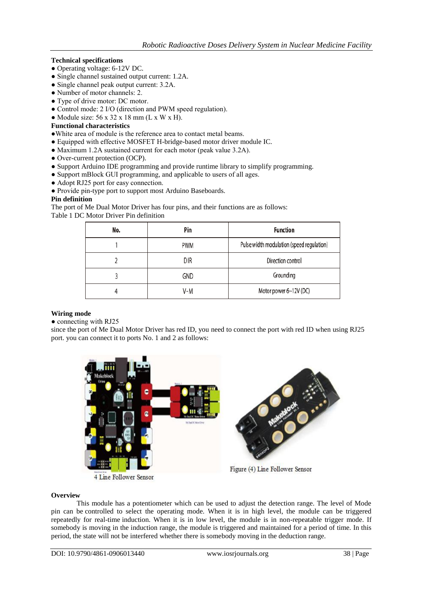# **Technical specifications**

- Operating voltage: 6-12V DC.
- Single channel sustained output current: 1.2A.
- Single channel peak output current: 3.2A.
- Number of motor channels: 2.
- Type of drive motor: DC motor.
- Control mode: 2 I/O (direction and PWM speed regulation).
- $\bullet$  Module size: 56 x 32 x 18 mm (L x W x H).

# **Functional characteristics**

- ●White area of module is the reference area to contact metal beams.
- Equipped with effective MOSFET H-bridge-based motor driver module IC.
- Maximum 1.2A sustained current for each motor (peak value 3.2A).
- Over-current protection (OCP).
- Support Arduino IDE programming and provide runtime library to simplify programming.
- Support mBlock GUI programming, and applicable to users of all ages.
- Adopt RJ25 port for easy connection.
- Provide pin-type port to support most Arduino Baseboards.

## **Pin definition**

The port of Me Dual Motor Driver has four pins, and their functions are as follows: Table 1 DC Motor Driver Pin definition

| No. | Pin   | Function                                  |
|-----|-------|-------------------------------------------|
|     | PWM   | Pulse width modulation (speed regulation) |
|     | DIR   | Direction control                         |
|     | GND   | Grounding                                 |
|     | $V-M$ | Motor power 6~12V (DC)                    |

# **Wiring mode**

• connecting with RJ25

since the port of Me Dual Motor Driver has red ID, you need to connect the port with red ID when using RJ25 port. you can connect it to ports No. 1 and 2 as follows:



4 Line Follower Sensor

Figure (4) Line Follower Sensor

### **Overview**

This module has a potentiometer which can be used to adjust the detection range. The level of Mode pin can be controlled to select the operating mode. When it is in high level, the module can be triggered repeatedly for real-time induction. When it is in low level, the module is in non-repeatable trigger mode. If somebody is moving in the induction range, the module is triggered and maintained for a period of time. In this period, the state will not be interfered whether there is somebody moving in the deduction range.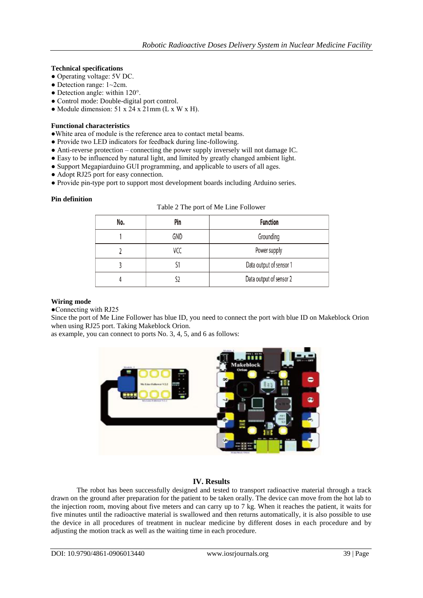## **Technical specifications**

- Operating voltage: 5V DC.
- $\bullet$  Detection range:  $1 \sim 2$ cm.
- $\bullet$  Detection angle: within 120 $^{\circ}$ .
- Control mode: Double-digital port control.
- Module dimension:  $51 \times 24 \times 21$  mm (L x W x H).

### **Functional characteristics**

- ●White area of module is the reference area to contact metal beams.
- Provide two LED indicators for feedback during line-following.
- Anti-reverse protection connecting the power supply inversely will not damage IC.
- Easy to be influenced by natural light, and limited by greatly changed ambient light.
- Support Megapiarduino GUI programming, and applicable to users of all ages.
- Adopt RJ25 port for easy connection.
- Provide pin-type port to support most development boards including Arduino series.

### **Pin definition**

| No. | Pin | <b>Function</b>         |
|-----|-----|-------------------------|
|     | GND | Grounding               |
|     | VCC | Power supply            |
|     |     | Data output of sensor 1 |
|     |     | Data output of sensor 2 |

### **Wiring mode**

●Connecting with RJ25

Since the port of Me Line Follower has blue ID, you need to connect the port with blue ID on Makeblock Orion when using RJ25 port. Taking Makeblock Orion.

as example, you can connect to ports No. 3, 4, 5, and 6 as follows:



# **IV. Results**

The robot has been successfully designed and tested to transport radioactive material through a track drawn on the ground after preparation for the patient to be taken orally. The device can move from the hot lab to the injection room, moving about five meters and can carry up to 7 kg. When it reaches the patient, it waits for five minutes until the radioactive material is swallowed and then returns automatically, it is also possible to use the device in all procedures of treatment in nuclear medicine by different doses in each procedure and by adjusting the motion track as well as the waiting time in each procedure.